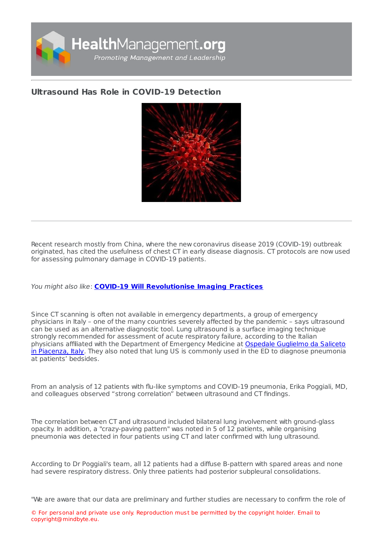

## **[Ultrasound](https://healthmanagement.org/s/ultrasound-has-role-in-covid-19-detection) Has Role in COVID-19 Detection**



Recent research mostly from China, where the new coronavirus disease 2019 (COVID-19) outbreak originated, has cited the usefulness of chest CT in early disease diagnosis. CT protocols are now used for assessing pulmonary damage in COVID-19 patients.

You might also like: **COVID-19 Will [Revolutionise](https://healthmanagement.org/c/imaging/news/covid-19-will-revolutionise-imaging-practices) Imaging Practices**

Since CT scanning is often not available in emergency departments, a group of emergency physicians in Italy – one of the many countries severely affected by the pandemic – says ultrasound can be used as an alternative diagnostic tool. Lung ultrasound is a surface imaging technique strongly recommended for assessment of acute respiratory failure, according to the Italian physicians affiliated with the [Department](http://www.ausl.pc.it/index_covid.asp) of Emergency Medicine at Ospedale Guglielmo da Saliceto in Piacenza, Italy. They also noted that lung US is commonly used in the ED to diagnose pneumonia at patients' bedsides.

From an analysis of 12 patients with flu-like symptoms and COVID-19 pneumonia, Erika Poggiali, MD, and colleagues observed "strong correlation" between ultrasound and CT findings.

The correlation between CT and ultrasound included bilateral lung involvement with ground-glass opacity. In addition, a "crazy-paving pattern" was noted in 5 of 12 patients, while organising pneumonia was detected in four patients using CT and later confirmed with lung ultrasound.

According to Dr Poggiali's team, all 12 patients had a diffuse B-pattern with spared areas and none had severe respiratory distress. Only three patients had posterior subpleural consolidations.

"We are aware that our data are preliminary and further studies are necessary to confirm the role of

© For personal and private use only. Reproduction must be permitted by the copyright holder. Email to copyright@mindbyte.eu.